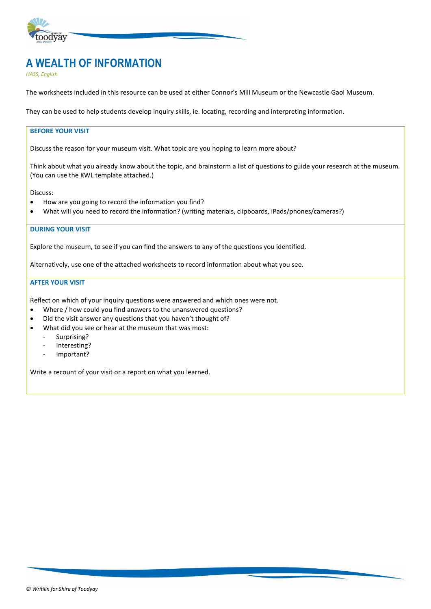

# **A WEALTH OF INFORMATION**

*HASS, English*

The worksheets included in this resource can be used at either Connor's Mill Museum or the Newcastle Gaol Museum.

They can be used to help students develop inquiry skills, ie. locating, recording and interpreting information.

#### **BEFORE YOUR VISIT**

Discuss the reason for your museum visit. What topic are you hoping to learn more about?

Think about what you already know about the topic, and brainstorm a list of questions to guide your research at the museum. (You can use the KWL template attached.)

Discuss:

- How are you going to record the information you find?
- What will you need to record the information? (writing materials, clipboards, iPads/phones/cameras?)

#### **DURING YOUR VISIT**

Explore the museum, to see if you can find the answers to any of the questions you identified.

Alternatively, use one of the attached worksheets to record information about what you see.

#### **AFTER YOUR VISIT**

Reflect on which of your inquiry questions were answered and which ones were not.

- Where / how could you find answers to the unanswered questions?
- Did the visit answer any questions that you haven't thought of?
- What did you see or hear at the museum that was most:
	- Surprising?
	- Interesting?
	- Important?

Write a recount of your visit or a report on what you learned.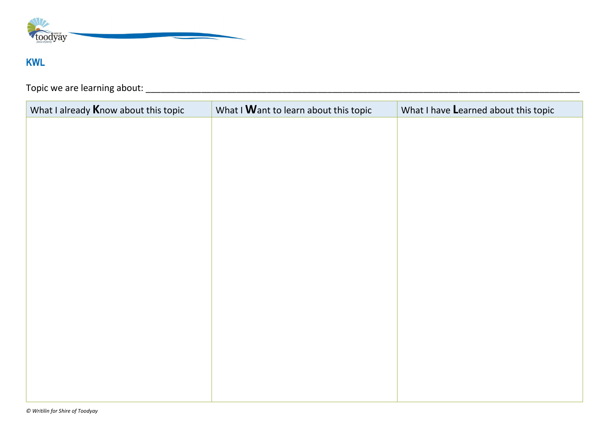

# **KWL**

Topic we are learning about: \_\_\_\_\_\_\_\_\_\_\_\_\_\_\_\_\_\_\_\_\_\_\_\_\_\_\_\_\_\_\_\_\_\_\_\_\_\_\_\_\_\_\_\_\_\_\_\_\_\_\_\_\_\_\_\_\_\_\_\_\_\_\_\_\_\_\_\_\_\_\_\_\_\_\_\_\_\_\_\_\_\_\_\_\_\_

| What I already <b>K</b> now about this topic | What I Want to learn about this topic | What I have Learned about this topic |
|----------------------------------------------|---------------------------------------|--------------------------------------|
|                                              |                                       |                                      |
|                                              |                                       |                                      |
|                                              |                                       |                                      |
|                                              |                                       |                                      |
|                                              |                                       |                                      |
|                                              |                                       |                                      |
|                                              |                                       |                                      |
|                                              |                                       |                                      |
|                                              |                                       |                                      |
|                                              |                                       |                                      |
|                                              |                                       |                                      |
|                                              |                                       |                                      |
|                                              |                                       |                                      |
|                                              |                                       |                                      |
|                                              |                                       |                                      |
|                                              |                                       |                                      |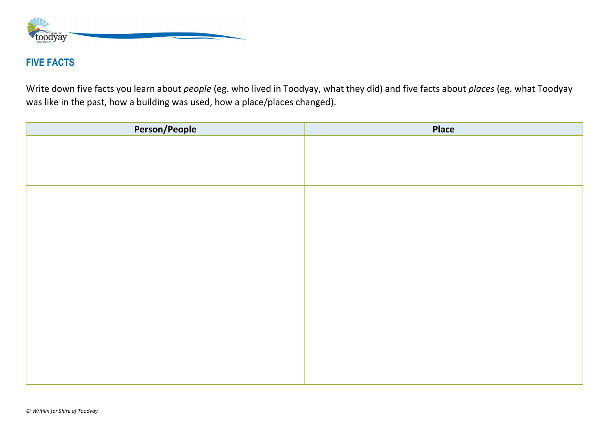

### **FIVE FACTS**

Write down five facts you learn about *people* (eg. who lived in Toodyay, what they did) and five facts about *places* (eg. what Toodyay was like in the past, how a building was used, how a place/places changed).

| Person/People | Place |
|---------------|-------|
|               |       |
|               |       |
|               |       |
|               |       |
|               |       |
|               |       |
|               |       |
|               |       |
|               |       |
|               |       |
|               |       |
|               |       |
|               |       |
|               |       |
|               |       |
|               |       |
|               |       |
|               |       |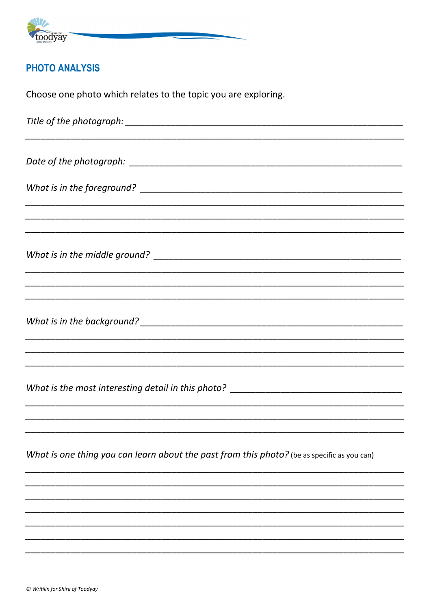

### **PHOTO ANALYSIS**

Choose one photo which relates to the topic you are exploring.

What is the most interesting detail in this photo? \_\_\_\_\_\_\_\_\_\_\_\_\_\_\_\_\_\_\_\_\_\_\_\_\_\_\_\_\_\_ What is one thing you can learn about the past from this photo? (be as specific as you can)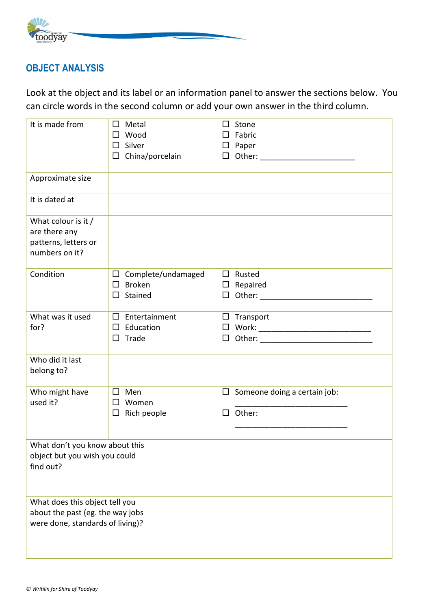

### **OBJECT ANALYSIS**

Look at the object and its label or an information panel to answer the sections below. You can circle words in the second column or add your own answer in the third column.

| It is made from                                                                                        | Metal<br>□<br>Wood<br>□<br>Silver<br>□<br>China/porcelain<br>$\Box$ | Stone<br>□<br>Fabric<br>$\square$ Paper<br>$\Box$           |
|--------------------------------------------------------------------------------------------------------|---------------------------------------------------------------------|-------------------------------------------------------------|
| Approximate size                                                                                       |                                                                     |                                                             |
| It is dated at                                                                                         |                                                                     |                                                             |
| What colour is it /<br>are there any<br>patterns, letters or<br>numbers on it?                         |                                                                     |                                                             |
| Condition                                                                                              | Complete/undamaged<br>□<br><b>Broken</b><br>□<br>Stained<br>□       | $\Box$<br>Rusted<br>Repaired<br>$\Box$                      |
| What was it used<br>for?                                                                               | Entertainment<br>□<br>Education<br>$\Box$<br>Trade<br>□             | $\Box$ Transport<br>$\Box$<br>$\Box$                        |
| Who did it last<br>belong to?                                                                          |                                                                     |                                                             |
| Who might have<br>used it?                                                                             | Men<br>□<br>Women<br>□<br>Rich people<br>□                          | Someone doing a certain job:<br>$\Box$<br>Other:<br>$\perp$ |
| What don't you know about this<br>object but you wish you could<br>find out?                           |                                                                     |                                                             |
| What does this object tell you<br>about the past (eg. the way jobs<br>were done, standards of living)? |                                                                     |                                                             |